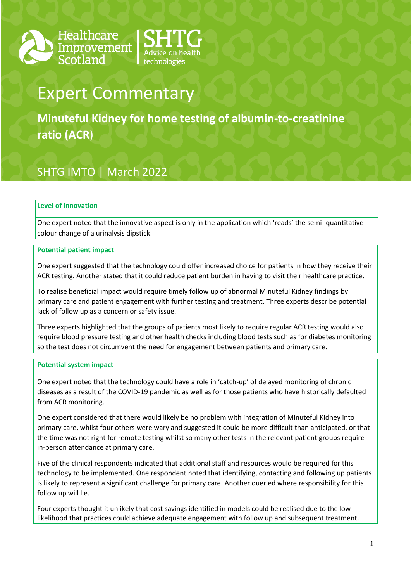



# Expert Commentary

**Minuteful Kidney for home testing of albumin-to-creatinine ratio (ACR**)

## SHTG IMTO | March 2022

### **Level of innovation**

One expert noted that the innovative aspect is only in the application which 'reads' the semi- quantitative colour change of a urinalysis dipstick.

### **Potential patient impact**

One expert suggested that the technology could offer increased choice for patients in how they receive their ACR testing. Another stated that it could reduce patient burden in having to visit their healthcare practice.

To realise beneficial impact would require timely follow up of abnormal Minuteful Kidney findings by primary care and patient engagement with further testing and treatment. Three experts describe potential lack of follow up as a concern or safety issue.

Three experts highlighted that the groups of patients most likely to require regular ACR testing would also require blood pressure testing and other health checks including blood tests such as for diabetes monitoring so the test does not circumvent the need for engagement between patients and primary care.

### **Potential system impact**

One expert noted that the technology could have a role in 'catch-up' of delayed monitoring of chronic diseases as a result of the COVID-19 pandemic as well as for those patients who have historically defaulted from ACR monitoring.

One expert considered that there would likely be no problem with integration of Minuteful Kidney into primary care, whilst four others were wary and suggested it could be more difficult than anticipated, or that the time was not right for remote testing whilst so many other tests in the relevant patient groups require in-person attendance at primary care.

Five of the clinical respondents indicated that additional staff and resources would be required for this technology to be implemented. One respondent noted that identifying, contacting and following up patients is likely to represent a significant challenge for primary care. Another queried where responsibility for this follow up will lie.

Four experts thought it unlikely that cost savings identified in models could be realised due to the low likelihood that practices could achieve adequate engagement with follow up and subsequent treatment.